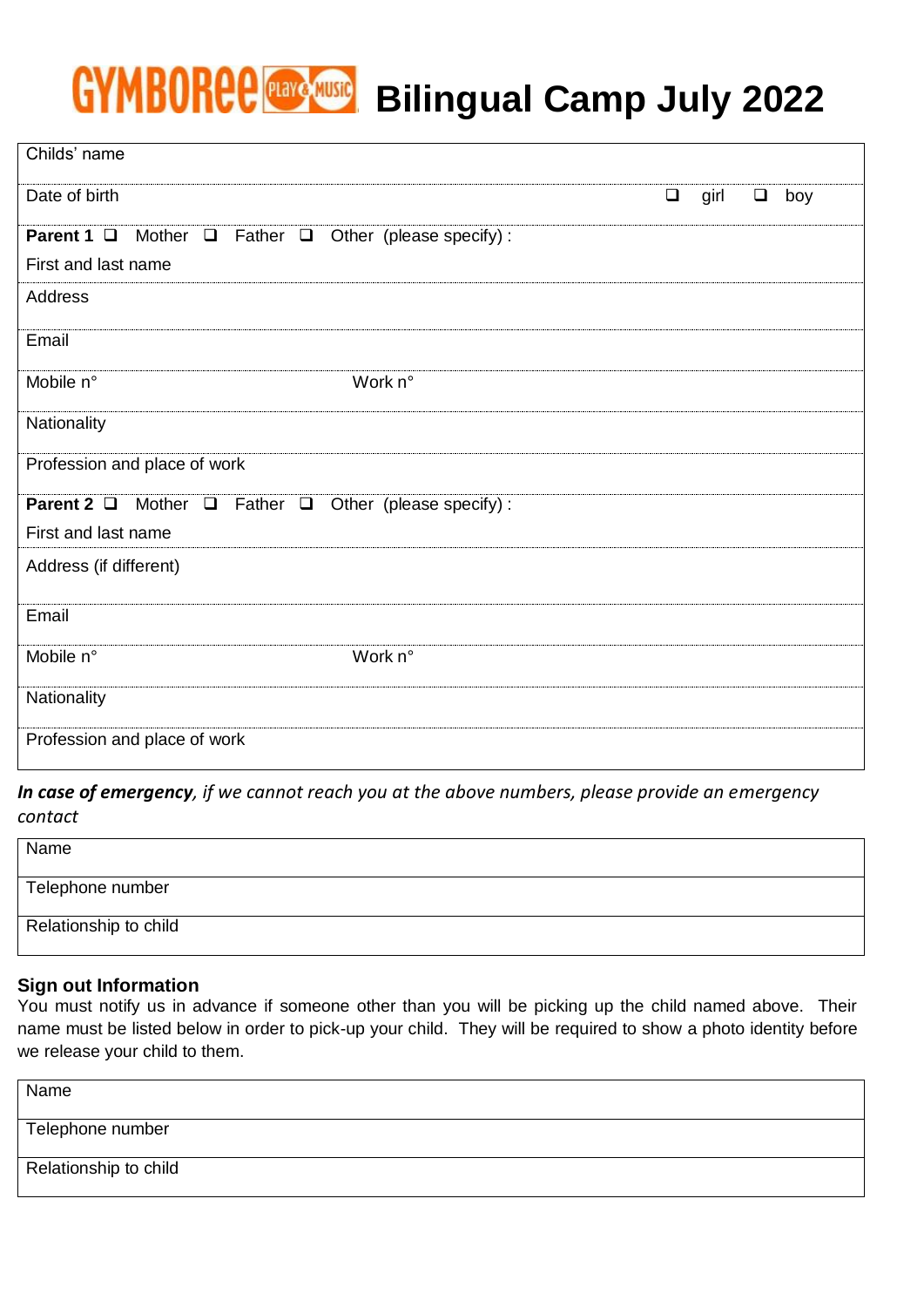# GYMBORCE **Praye Music Bilingual Camp July 2022**

| Childs' name                                                                        |        |      |        |     |  |  |  |  |  |
|-------------------------------------------------------------------------------------|--------|------|--------|-----|--|--|--|--|--|
| Date of birth                                                                       | $\Box$ | girl | $\Box$ | boy |  |  |  |  |  |
| Mother $\Box$ Father $\Box$<br>Parent 1 □<br>Other (please specify) :               |        |      |        |     |  |  |  |  |  |
| First and last name                                                                 |        |      |        |     |  |  |  |  |  |
| Address                                                                             |        |      |        |     |  |  |  |  |  |
| Email                                                                               |        |      |        |     |  |  |  |  |  |
| Mobile n°<br>Work n°                                                                |        |      |        |     |  |  |  |  |  |
| Nationality                                                                         |        |      |        |     |  |  |  |  |  |
| Profession and place of work                                                        |        |      |        |     |  |  |  |  |  |
| Parent 2 <sup>1</sup><br>Father $\Box$<br>Mother $\Box$<br>Other (please specify) : |        |      |        |     |  |  |  |  |  |
| First and last name                                                                 |        |      |        |     |  |  |  |  |  |
| Address (if different)                                                              |        |      |        |     |  |  |  |  |  |
| Email                                                                               |        |      |        |     |  |  |  |  |  |
| Mobile n°<br>Work n°                                                                |        |      |        |     |  |  |  |  |  |
| Nationality                                                                         |        |      |        |     |  |  |  |  |  |
| Profession and place of work                                                        |        |      |        |     |  |  |  |  |  |

# *In case of emergency, if we cannot reach you at the above numbers, please provide an emergency contact*

| Name                  |
|-----------------------|
| Telephone number      |
| Relationship to child |

## **Sign out Information**

You must notify us in advance if someone other than you will be picking up the child named above. Their name must be listed below in order to pick-up your child. They will be required to show a photo identity before we release your child to them.

| Name                  |  |
|-----------------------|--|
| Telephone number      |  |
| Relationship to child |  |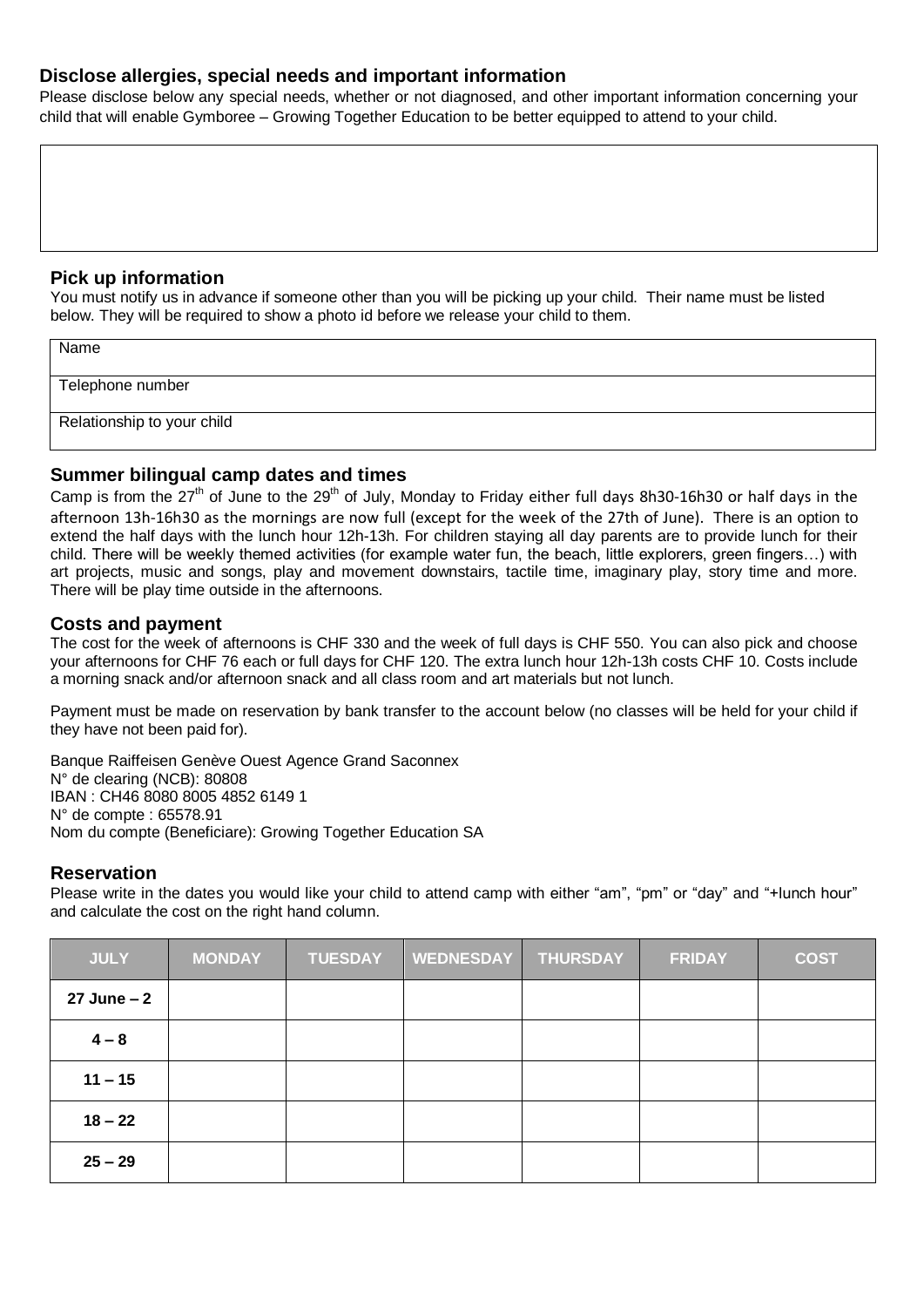#### **Disclose allergies, special needs and important information**

Please disclose below any special needs, whether or not diagnosed, and other important information concerning your child that will enable Gymboree – Growing Together Education to be better equipped to attend to your child.

#### **Pick up information**

You must notify us in advance if someone other than you will be picking up your child. Their name must be listed below. They will be required to show a photo id before we release your child to them.

| Name                       |  |
|----------------------------|--|
| Telephone number           |  |
| Relationship to your child |  |

### **Summer bilingual camp dates and times**

Camp is from the 27<sup>th</sup> of June to the 29<sup>th</sup> of July, Monday to Friday either full days 8h30-16h30 or half days in the afternoon 13h-16h30 as the mornings are now full (except for the week of the 27th of June). There is an option to extend the half days with the lunch hour 12h-13h. For children staying all day parents are to provide lunch for their child. There will be weekly themed activities (for example water fun, the beach, little explorers, green fingers…) with art projects, music and songs, play and movement downstairs, tactile time, imaginary play, story time and more. There will be play time outside in the afternoons.

#### **Costs and payment**

The cost for the week of afternoons is CHF 330 and the week of full days is CHF 550. You can also pick and choose your afternoons for CHF 76 each or full days for CHF 120. The extra lunch hour 12h-13h costs CHF 10. Costs include a morning snack and/or afternoon snack and all class room and art materials but not lunch.

Payment must be made on reservation by bank transfer to the account below (no classes will be held for your child if they have not been paid for).

Banque Raiffeisen Genève Ouest Agence Grand Saconnex N° de clearing (NCB): 80808 IBAN : CH46 8080 8005 4852 6149 1 N° de compte : 65578.91 Nom du compte (Beneficiare): Growing Together Education SA

#### **Reservation**

Please write in the dates you would like your child to attend camp with either "am", "pm" or "day" and "+lunch hour" and calculate the cost on the right hand column.

| <b>JULY</b>    | <b>MONDAY</b> | <b>TUESDAY</b> | <b>WEDNESDAY</b> | <b>THURSDAY</b> | <b>FRIDAY</b> | <b>COST</b> |
|----------------|---------------|----------------|------------------|-----------------|---------------|-------------|
| $27$ June $-2$ |               |                |                  |                 |               |             |
| $4 - 8$        |               |                |                  |                 |               |             |
| $11 - 15$      |               |                |                  |                 |               |             |
| $18 - 22$      |               |                |                  |                 |               |             |
| $25 - 29$      |               |                |                  |                 |               |             |